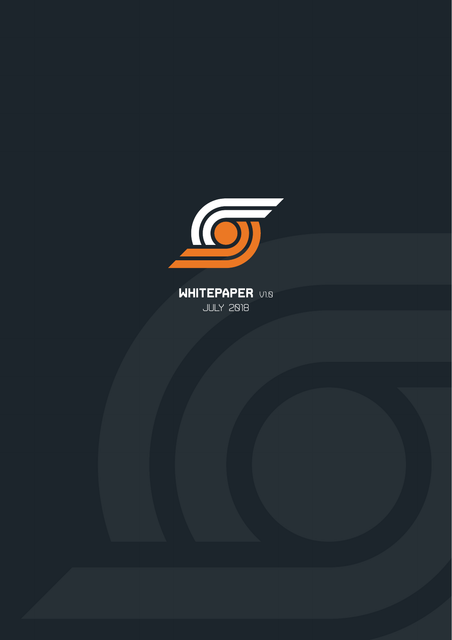

**WHITEPAPER** V1.0 July 2018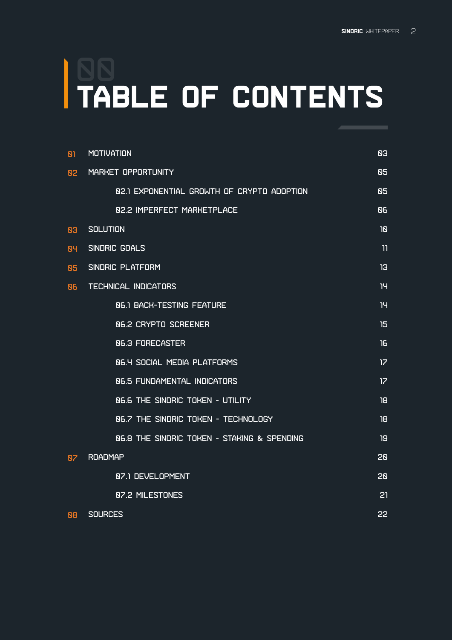# **TABLE OF CONTENTS** 00

| ופ | <b>MOTIVATION</b>                                      | <b>B3</b> |
|----|--------------------------------------------------------|-----------|
| 82 | MARKET OPPORTUNITY                                     | 85        |
|    | 82.1 EXPONENTIAL GROWTH OF CRYPTO ADOPTION             | 85        |
|    | <b>82.2 IMPERFECT MARKETPLACE</b>                      | 86        |
| 83 | <b>SOLUTION</b>                                        | פו        |
| 84 | SINDRIC GOALS                                          | וו        |
| 85 | SINDRIC PLATFORM                                       | <b>13</b> |
| 86 | <b>TECHNICAL INDICATORS</b>                            | וי        |
|    | <b>86.1 BACK-TESTING FEATURE</b>                       | 14        |
|    | <b>06.2 CRYPTO SCREENER</b>                            | 15        |
|    | <b>86.3 FORECASTER</b>                                 | 16        |
|    | <b><u>06.4 SOCIAL MEDIA PLATFORMS</u></b>              | 17        |
|    | <b>06.5 FUNDAMENTAL INDICATORS</b>                     | 17        |
|    | <b>N6.6 THE SINDRIC TOKEN - UTILITY</b>                | 18        |
|    | <b>N6.7 THE SINDRIC TOKEN - TECHNOLOGY</b>             | 18        |
|    | <b>N6.8 THE SINDRIC TOKEN - STAKING &amp; SPENDING</b> | 19        |
| 87 | <b>ROADMAP</b>                                         | 20        |
|    | 87.1 DEVELOPMENT                                       | 20        |
|    | 87.2 MILESTONES                                        | 21        |
| 88 | <b>SOURCES</b>                                         | 22        |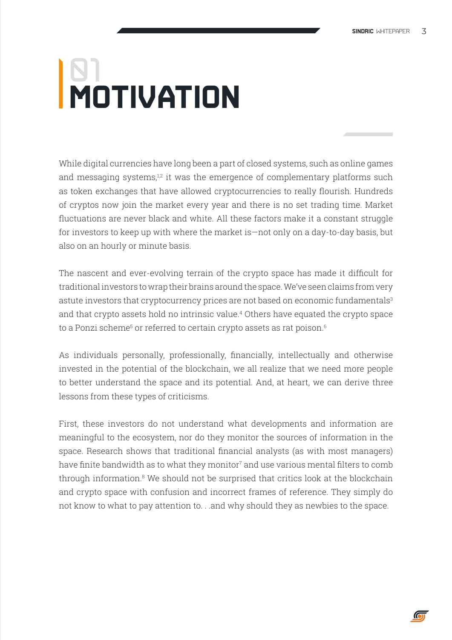# **MOTIVATION** 01

While digital currencies have long been a part of closed systems, such as online games and messaging systems, $12$  it was the emergence of complementary platforms such as token exchanges that have allowed cryptocurrencies to really flourish. Hundreds of cryptos now join the market every year and there is no set trading time. Market fluctuations are never black and white. All these factors make it a constant struggle for investors to keep up with where the market is—not only on a day-to-day basis, but also on an hourly or minute basis.

The nascent and ever-evolving terrain of the crypto space has made it difficult for traditional investors to wrap their brains around the space. We've seen claims from very astute investors that cryptocurrency prices are not based on economic fundamentals<sup>3</sup> and that crypto assets hold no intrinsic value.4 Others have equated the crypto space to a Ponzi scheme $^{\rm 5}$  or referred to certain crypto assets as rat poison. $^{\rm 6}$ 

As individuals personally, professionally, financially, intellectually and otherwise invested in the potential of the blockchain, we all realize that we need more people to better understand the space and its potential. And, at heart, we can derive three lessons from these types of criticisms.

First, these investors do not understand what developments and information are meaningful to the ecosystem, nor do they monitor the sources of information in the space. Research shows that traditional financial analysts (as with most managers) have finite bandwidth as to what they monitor $^7$  and use various mental filters to comb through information.<sup>8</sup> We should not be surprised that critics look at the blockchain and crypto space with confusion and incorrect frames of reference. They simply do not know to what to pay attention to. . .and why should they as newbies to the space.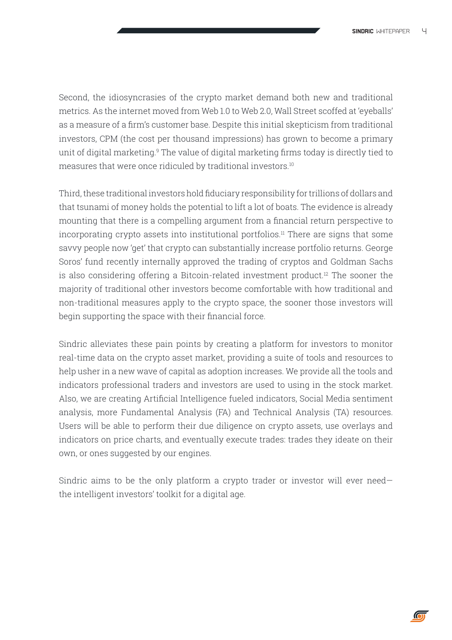Second, the idiosyncrasies of the crypto market demand both new and traditional metrics. As the internet moved from Web 1.0 to Web 2.0, Wall Street scoffed at 'eyeballs' as a measure of a firm's customer base. Despite this initial skepticism from traditional investors, CPM (the cost per thousand impressions) has grown to become a primary unit of digital marketing.<sup>9</sup> The value of digital marketing firms today is directly tied to measures that were once ridiculed by traditional investors.10

Third, these traditional investors hold fiduciary responsibility for trillions of dollars and that tsunami of money holds the potential to lift a lot of boats. The evidence is already mounting that there is a compelling argument from a financial return perspective to incorporating crypto assets into institutional portfolios.<sup>11</sup> There are signs that some savvy people now 'get' that crypto can substantially increase portfolio returns. George Soros' fund recently internally approved the trading of cryptos and Goldman Sachs is also considering offering a Bitcoin-related investment product.12 The sooner the majority of traditional other investors become comfortable with how traditional and non-traditional measures apply to the crypto space, the sooner those investors will begin supporting the space with their financial force.

Sindric alleviates these pain points by creating a platform for investors to monitor real-time data on the crypto asset market, providing a suite of tools and resources to help usher in a new wave of capital as adoption increases. We provide all the tools and indicators professional traders and investors are used to using in the stock market. Also, we are creating Artificial Intelligence fueled indicators, Social Media sentiment analysis, more Fundamental Analysis (FA) and Technical Analysis (TA) resources. Users will be able to perform their due diligence on crypto assets, use overlays and indicators on price charts, and eventually execute trades: trades they ideate on their own, or ones suggested by our engines.

Sindric aims to be the only platform a crypto trader or investor will ever need the intelligent investors' toolkit for a digital age.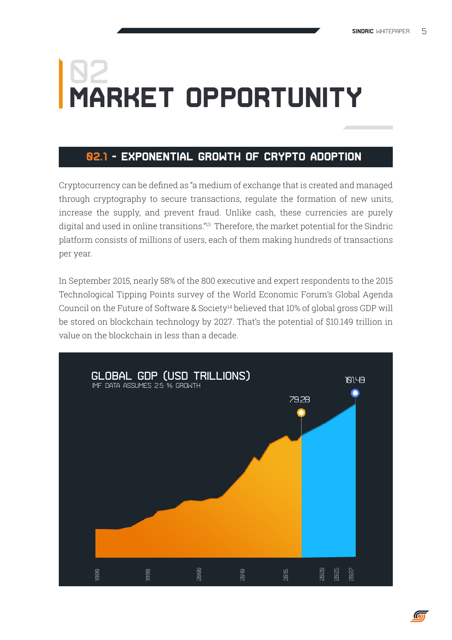## **MARKET OPPORTUNITY 02**

## **02.1 - Exponential Growth of Crypto Adoption**

Cryptocurrency can be defined as "a medium of exchange that is created and managed through cryptography to secure transactions, regulate the formation of new units, increase the supply, and prevent fraud. Unlike cash, these currencies are purely digital and used in online transitions."13 Therefore, the market potential for the Sindric platform consists of millions of users, each of them making hundreds of transactions per year.

In September 2015, nearly 58% of the 800 executive and expert respondents to the 2015 Technological Tipping Points survey of the World Economic Forum's Global Agenda Council on the Future of Software & Society<sup>14</sup> believed that 10% of global gross GDP will be stored on blockchain technology by 2027. That's the potential of \$10.149 trillion in value on the blockchain in less than a decade.

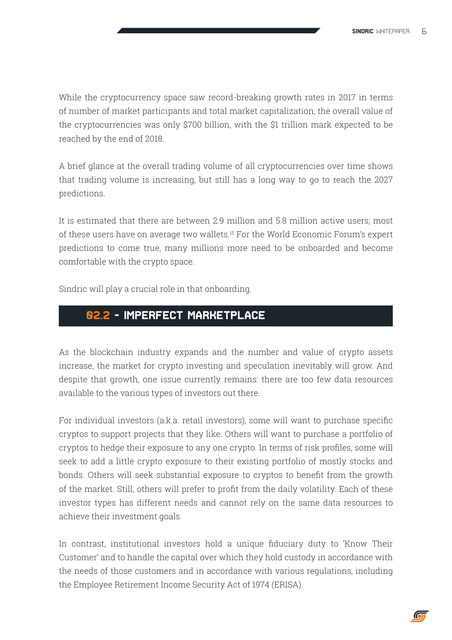While the cryptocurrency space saw record-breaking growth rates in 2017 in terms of number of market participants and total market capitalization, the overall value of the cryptocurrencies was only \$700 billion, with the \$1 trillion mark expected to be reached by the end of 2018.

A brief glance at the overall trading volume of all cryptocurrencies over time shows that trading volume is increasing, but still has a long way to go to reach the 2027 predictions.

It is estimated that there are between 2.9 million and 5.8 million active users; most of these users have on average two wallets.<sup>15</sup> For the World Economic Forum's expert predictions to come true, many millions more need to be onboarded and become comfortable with the crypto space.

Sindric will play a crucial role in that onboarding.

### **02.2 - Imperfect Marketplace**

As the blockchain industry expands and the number and value of crypto assets increase, the market for crypto investing and speculation inevitably will grow. And despite that growth, one issue currently remains: there are too few data resources available to the various types of investors out there.

For individual investors (a.k.a. retail investors), some will want to purchase specific cryptos to support projects that they like. Others will want to purchase a portfolio of cryptos to hedge their exposure to any one crypto. In terms of risk profiles, some will seek to add a little crypto exposure to their existing portfolio of mostly stocks and bonds. Others will seek substantial exposure to cryptos to benefit from the growth of the market. Still, others will prefer to profit from the daily volatility. Each of these investor types has different needs and cannot rely on the same data resources to achieve their investment goals.

In contrast, institutional investors hold a unique fiduciary duty to 'Know Their Customer' and to handle the capital over which they hold custody in accordance with the needs of those customers and in accordance with various regulations, including the Employee Retirement Income Security Act of 1974 (ERISA).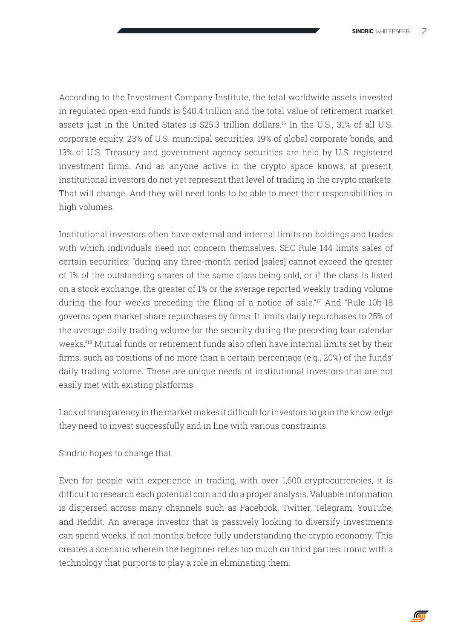According to the Investment Company Institute, the total worldwide assets invested in regulated open-end funds is \$40.4 trillion and the total value of retirement market assets just in the United States is \$25.3 trillion dollars.<sup>16</sup> In the U.S., 31% of all U.S. corporate equity, 23% of U.S. municipal securities, 19% of global corporate bonds, and 13% of U.S. Treasury and government agency securities are held by U.S. registered investment firms. And as anyone active in the crypto space knows, at present, institutional investors do not yet represent that level of trading in the crypto markets. That will change. And they will need tools to be able to meet their responsibilities in high volumes.

Institutional investors often have external and internal limits on holdings and trades with which individuals need not concern themselves. SEC Rule 144 limits sales of certain securities; "during any three-month period [sales] cannot exceed the greater of 1% of the outstanding shares of the same class being sold, or if the class is listed on a stock exchange, the greater of 1% or the average reported weekly trading volume during the four weeks preceding the filing of a notice of sale."<sup>17</sup> And "Rule 10b-18 governs open market share repurchases by firms. It limits daily repurchases to 25% of the average daily trading volume for the security during the preceding four calendar weeks."<sup>18</sup> Mutual funds or retirement funds also often have internal limits set by their firms, such as positions of no more than a certain percentage (e.g., 20%) of the funds' daily trading volume. These are unique needs of institutional investors that are not easily met with existing platforms.

Lack of transparency in the market makes it difficult for investors to gain the knowledge they need to invest successfully and in line with various constraints.

Sindric hopes to change that.

Even for people with experience in trading, with over 1,600 cryptocurrencies, it is difficult to research each potential coin and do a proper analysis. Valuable information is dispersed across many channels such as Facebook, Twitter, Telegram, YouTube, and Reddit. An average investor that is passively looking to diversify investments can spend weeks, if not months, before fully understanding the crypto economy. This creates a scenario wherein the beginner relies too much on third parties: ironic with a technology that purports to play a role in eliminating them.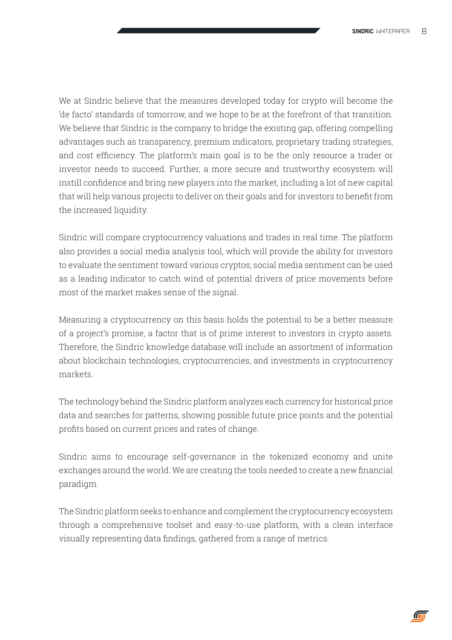We at Sindric believe that the measures developed today for crypto will become the 'de facto' standards of tomorrow, and we hope to be at the forefront of that transition. We believe that Sindric is the company to bridge the existing gap, offering compelling advantages such as transparency, premium indicators, proprietary trading strategies, and cost efficiency. The platform's main goal is to be the only resource a trader or investor needs to succeed. Further, a more secure and trustworthy ecosystem will instill confidence and bring new players into the market, including a lot of new capital that will help various projects to deliver on their goals and for investors to benefit from the increased liquidity.

Sindric will compare cryptocurrency valuations and trades in real time. The platform also provides a social media analysis tool, which will provide the ability for investors to evaluate the sentiment toward various cryptos; social media sentiment can be used as a leading indicator to catch wind of potential drivers of price movements before most of the market makes sense of the signal.

Measuring a cryptocurrency on this basis holds the potential to be a better measure of a project's promise, a factor that is of prime interest to investors in crypto assets. Therefore, the Sindric knowledge database will include an assortment of information about blockchain technologies, cryptocurrencies, and investments in cryptocurrency markets.

The technology behind the Sindric platform analyzes each currency for historical price data and searches for patterns, showing possible future price points and the potential profits based on current prices and rates of change.

Sindric aims to encourage self-governance in the tokenized economy and unite exchanges around the world. We are creating the tools needed to create a new financial paradigm.

The Sindric platform seeks to enhance and complement the cryptocurrency ecosystem through a comprehensive toolset and easy-to-use platform, with a clean interface visually representing data findings, gathered from a range of metrics.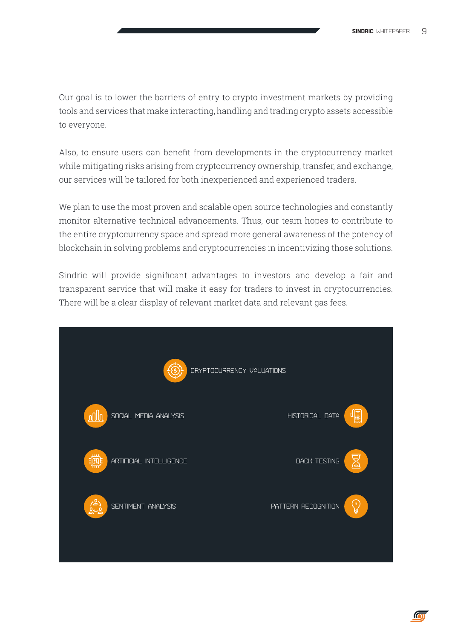Our goal is to lower the barriers of entry to crypto investment markets by providing tools and services that make interacting, handling and trading crypto assets accessible to everyone.

Also, to ensure users can benefit from developments in the cryptocurrency market while mitigating risks arising from cryptocurrency ownership, transfer, and exchange, our services will be tailored for both inexperienced and experienced traders.

We plan to use the most proven and scalable open source technologies and constantly monitor alternative technical advancements. Thus, our team hopes to contribute to the entire cryptocurrency space and spread more general awareness of the potency of blockchain in solving problems and cryptocurrencies in incentivizing those solutions.

Sindric will provide significant advantages to investors and develop a fair and transparent service that will make it easy for traders to invest in cryptocurrencies. There will be a clear display of relevant market data and relevant gas fees.

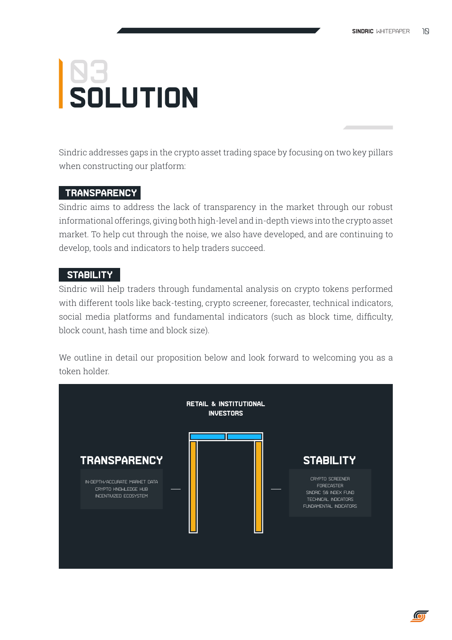# **SOLUTION** 83

Sindric addresses gaps in the crypto asset trading space by focusing on two key pillars when constructing our platform:

#### **TRANSPARENCY**

Sindric aims to address the lack of transparency in the market through our robust informational offerings, giving both high-level and in-depth views into the crypto asset market. To help cut through the noise, we also have developed, and are continuing to develop, tools and indicators to help traders succeed.

#### **STABILITY**

Sindric will help traders through fundamental analysis on crypto tokens performed with different tools like back-testing, crypto screener, forecaster, technical indicators, social media platforms and fundamental indicators (such as block time, difficulty, block count, hash time and block size).

We outline in detail our proposition below and look forward to welcoming you as a token holder.

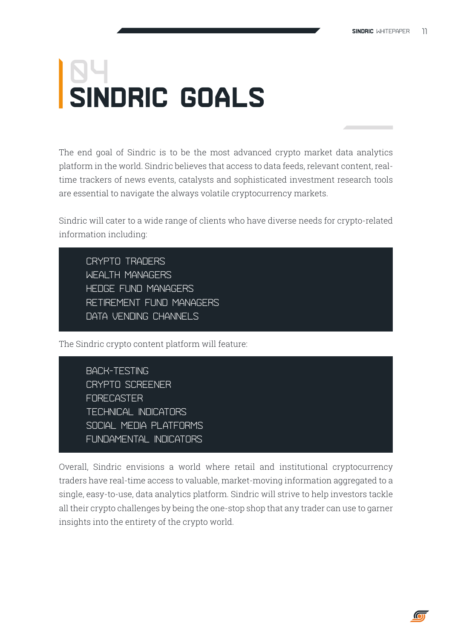## **SINDRIC GOALS 04**

The end goal of Sindric is to be the most advanced crypto market data analytics platform in the world. Sindric believes that access to data feeds, relevant content, realtime trackers of news events, catalysts and sophisticated investment research tools are essential to navigate the always volatile cryptocurrency markets.

Sindric will cater to a wide range of clients who have diverse needs for crypto-related information including:

Crypto traders Wealth managers Hedge fund managers Retirement fund managers Data vending channels

The Sindric crypto content platform will feature:

Back-testing Crypto Screener **FORECASTER** Technical Indicators Social Media Platforms Fundamental Indicators

Overall, Sindric envisions a world where retail and institutional cryptocurrency traders have real-time access to valuable, market-moving information aggregated to a single, easy-to-use, data analytics platform. Sindric will strive to help investors tackle all their crypto challenges by being the one-stop shop that any trader can use to garner insights into the entirety of the crypto world.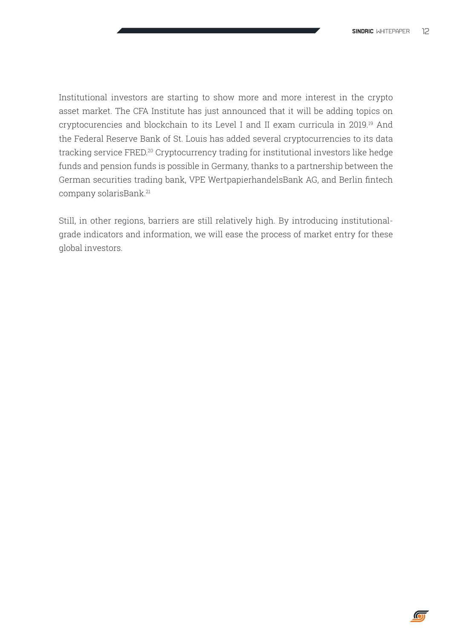$\overline{\mathbf{C}}$ 

Institutional investors are starting to show more and more interest in the crypto asset market. The CFA Institute has just announced that it will be adding topics on cryptocurencies and blockchain to its Level I and II exam curricula in 2019.<sup>19</sup> And the Federal Reserve Bank of St. Louis has added several cryptocurrencies to its data tracking service FRED.20 Cryptocurrency trading for institutional investors like hedge funds and pension funds is possible in Germany, thanks to a partnership between the German securities trading bank, VPE WertpapierhandelsBank AG, and Berlin fintech company solarisBank.<sup>21</sup>

Still, in other regions, barriers are still relatively high. By introducing institutionalgrade indicators and information, we will ease the process of market entry for these global investors.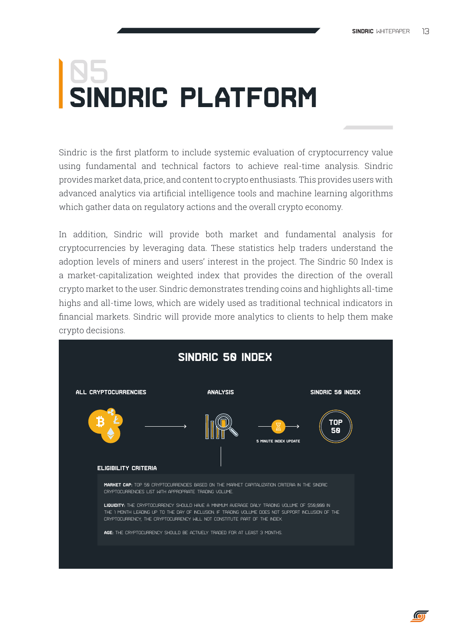## **SINDRIC PLATFORM Q5**

Sindric is the first platform to include systemic evaluation of cryptocurrency value using fundamental and technical factors to achieve real-time analysis. Sindric provides market data, price, and content to crypto enthusiasts. This provides users with advanced analytics via artificial intelligence tools and machine learning algorithms which gather data on regulatory actions and the overall crypto economy.

In addition, Sindric will provide both market and fundamental analysis for cryptocurrencies by leveraging data. These statistics help traders understand the adoption levels of miners and users' interest in the project. The Sindric 50 Index is a market-capitalization weighted index that provides the direction of the overall crypto market to the user. Sindric demonstrates trending coins and highlights all-time highs and all-time lows, which are widely used as traditional technical indicators in financial markets. Sindric will provide more analytics to clients to help them make crypto decisions.

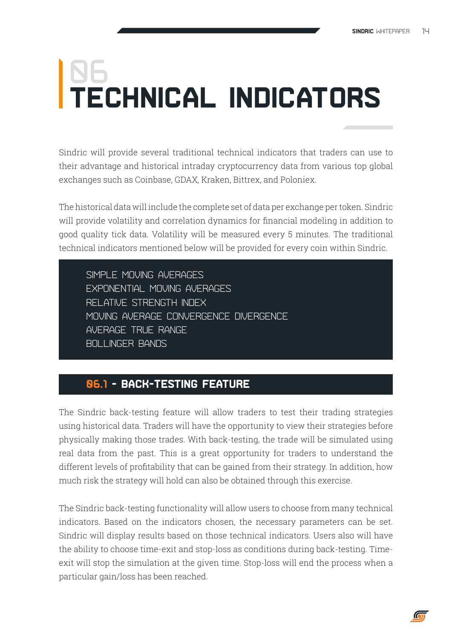# **TECHNICAL INDICATORS <u>06</u>**

Sindric will provide several traditional technical indicators that traders can use to their advantage and historical intraday cryptocurrency data from various top global exchanges such as Coinbase, GDAX, Kraken, Bittrex, and Poloniex.

The historical data will include the complete set of data per exchange per token. Sindric will provide volatility and correlation dynamics for financial modeling in addition to good quality tick data. Volatility will be measured every 5 minutes. The traditional technical indicators mentioned below will be provided for every coin within Sindric.

Simple Moving Averages Exponential Moving Averages Relative Strength Index Moving Average Convergence Divergence Average True Range Bollinger Bands

## **06.1 - Back-testing Feature**

Ī

The Sindric back-testing feature will allow traders to test their trading strategies using historical data. Traders will have the opportunity to view their strategies before physically making those trades. With back-testing, the trade will be simulated using real data from the past. This is a great opportunity for traders to understand the different levels of profitability that can be gained from their strategy. In addition, how much risk the strategy will hold can also be obtained through this exercise.

The Sindric back-testing functionality will allow users to choose from many technical indicators. Based on the indicators chosen, the necessary parameters can be set. Sindric will display results based on those technical indicators. Users also will have the ability to choose time-exit and stop-loss as conditions during back-testing. Timeexit will stop the simulation at the given time. Stop-loss will end the process when a particular gain/loss has been reached.

 $\overline{a}$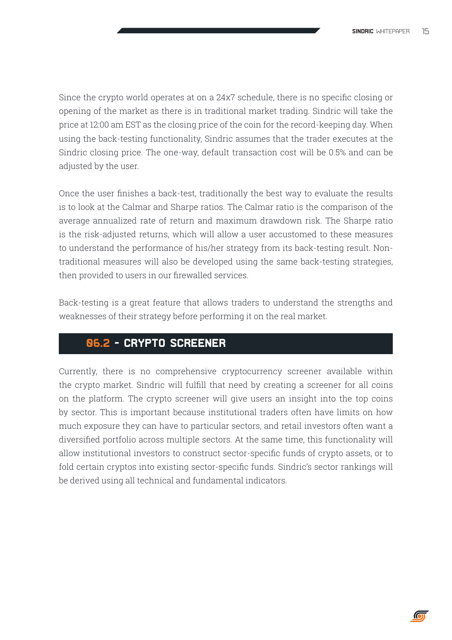Since the crypto world operates at on a 24x7 schedule, there is no specific closing or opening of the market as there is in traditional market trading. Sindric will take the price at 12:00 am EST as the closing price of the coin for the record-keeping day. When using the back-testing functionality, Sindric assumes that the trader executes at the Sindric closing price. The one-way, default transaction cost will be 0.5% and can be adjusted by the user.

Once the user finishes a back-test, traditionally the best way to evaluate the results is to look at the Calmar and Sharpe ratios. The Calmar ratio is the comparison of the average annualized rate of return and maximum drawdown risk. The Sharpe ratio is the risk-adjusted returns, which will allow a user accustomed to these measures to understand the performance of his/her strategy from its back-testing result. Nontraditional measures will also be developed using the same back-testing strategies, then provided to users in our firewalled services.

Back-testing is a great feature that allows traders to understand the strengths and weaknesses of their strategy before performing it on the real market.

#### **06.2 - Crypto Screener**

Currently, there is no comprehensive cryptocurrency screener available within the crypto market. Sindric will fulfill that need by creating a screener for all coins on the platform. The crypto screener will give users an insight into the top coins by sector. This is important because institutional traders often have limits on how much exposure they can have to particular sectors, and retail investors often want a diversified portfolio across multiple sectors. At the same time, this functionality will allow institutional investors to construct sector-specific funds of crypto assets, or to fold certain cryptos into existing sector-specific funds. Sindric's sector rankings will be derived using all technical and fundamental indicators.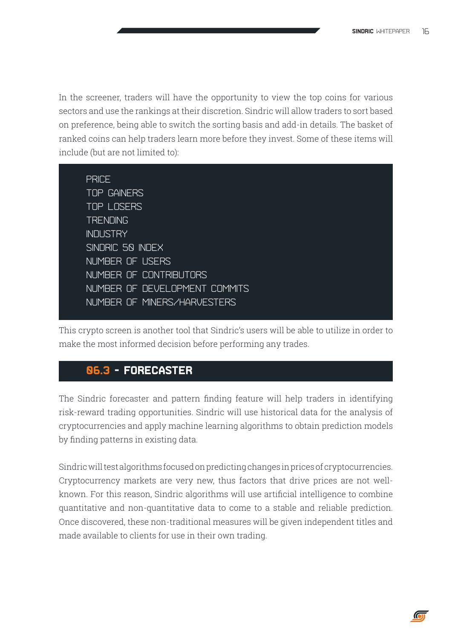In the screener, traders will have the opportunity to view the top coins for various sectors and use the rankings at their discretion. Sindric will allow traders to sort based on preference, being able to switch the sorting basis and add-in details. The basket of ranked coins can help traders learn more before they invest. Some of these items will include (but are not limited to):

| <b>PRICE</b>                  |
|-------------------------------|
| <b>TOP GAINERS</b>            |
| <b>TOP LOSERS</b>             |
| <b>TRENDING</b>               |
| <b>INDUSTRY</b>               |
| SINDRIC 50 INDEX              |
| NUMBER OF USERS               |
| NUMBER OF CONTRIBUTORS        |
| NUMBER OF DEVELOPMENT COMMITS |
| NUMBER OF MINERS/HARVESTERS   |
|                               |

This crypto screen is another tool that Sindric's users will be able to utilize in order to make the most informed decision before performing any trades.

### **06.3 - Forecaster**

The Sindric forecaster and pattern finding feature will help traders in identifying risk-reward trading opportunities. Sindric will use historical data for the analysis of cryptocurrencies and apply machine learning algorithms to obtain prediction models by finding patterns in existing data.

Sindric will test algorithms focused on predicting changes in prices of cryptocurrencies. Cryptocurrency markets are very new, thus factors that drive prices are not wellknown. For this reason, Sindric algorithms will use artificial intelligence to combine quantitative and non-quantitative data to come to a stable and reliable prediction. Once discovered, these non-traditional measures will be given independent titles and made available to clients for use in their own trading.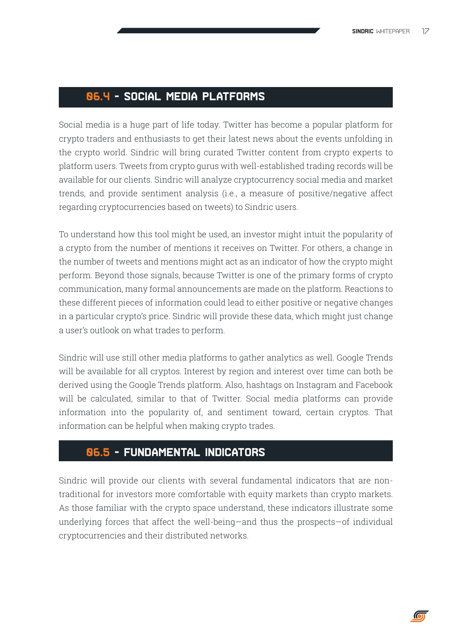### **06.4 - Social Media Platforms**

Social media is a huge part of life today. Twitter has become a popular platform for crypto traders and enthusiasts to get their latest news about the events unfolding in the crypto world. Sindric will bring curated Twitter content from crypto experts to platform users. Tweets from crypto gurus with well-established trading records will be available for our clients. Sindric will analyze cryptocurrency social media and market trends, and provide sentiment analysis (i.e., a measure of positive/negative affect regarding cryptocurrencies based on tweets) to Sindric users.

To understand how this tool might be used, an investor might intuit the popularity of a crypto from the number of mentions it receives on Twitter. For others, a change in the number of tweets and mentions might act as an indicator of how the crypto might perform. Beyond those signals, because Twitter is one of the primary forms of crypto communication, many formal announcements are made on the platform. Reactions to these different pieces of information could lead to either positive or negative changes in a particular crypto's price. Sindric will provide these data, which might just change a user's outlook on what trades to perform.

Sindric will use still other media platforms to gather analytics as well. Google Trends will be available for all cryptos. Interest by region and interest over time can both be derived using the Google Trends platform. Also, hashtags on Instagram and Facebook will be calculated, similar to that of Twitter. Social media platforms can provide information into the popularity of, and sentiment toward, certain cryptos. That information can be helpful when making crypto trades.

#### **06.5 - Fundamental Indicators**

Sindric will provide our clients with several fundamental indicators that are nontraditional for investors more comfortable with equity markets than crypto markets. As those familiar with the crypto space understand, these indicators illustrate some underlying forces that affect the well-being—and thus the prospects—of individual cryptocurrencies and their distributed networks.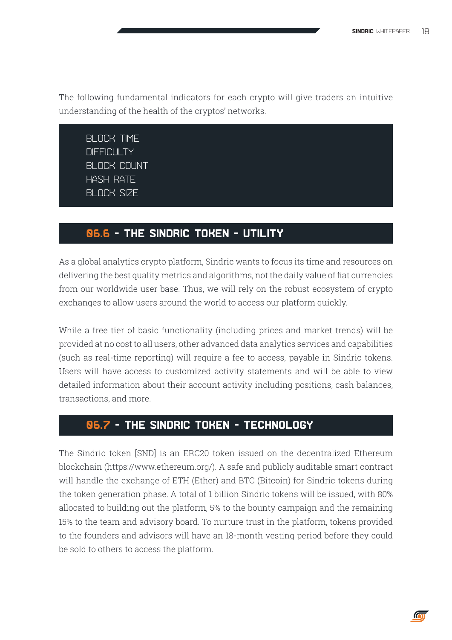The following fundamental indicators for each crypto will give traders an intuitive understanding of the health of the cryptos' networks.

BI OCK TIME **DIFFICULTY** Block count **HASH RATE** Block size

#### **06.6 - The Sindric Token - Utility**

As a global analytics crypto platform, Sindric wants to focus its time and resources on delivering the best quality metrics and algorithms, not the daily value of fiat currencies from our worldwide user base. Thus, we will rely on the robust ecosystem of crypto exchanges to allow users around the world to access our platform quickly.

While a free tier of basic functionality (including prices and market trends) will be provided at no cost to all users, other advanced data analytics services and capabilities (such as real-time reporting) will require a fee to access, payable in Sindric tokens. Users will have access to customized activity statements and will be able to view detailed information about their account activity including positions, cash balances, transactions, and more.

#### **06.7 - The Sindric Token - Technology**

The Sindric token [SND] is an ERC20 token issued on the decentralized Ethereum blockchain (https://www.ethereum.org/). A safe and publicly auditable smart contract will handle the exchange of ETH (Ether) and BTC (Bitcoin) for Sindric tokens during the token generation phase. A total of 1 billion Sindric tokens will be issued, with 80% allocated to building out the platform, 5% to the bounty campaign and the remaining 15% to the team and advisory board. To nurture trust in the platform, tokens provided to the founders and advisors will have an 18-month vesting period before they could be sold to others to access the platform.

 $\overline{\mathbf{C}}$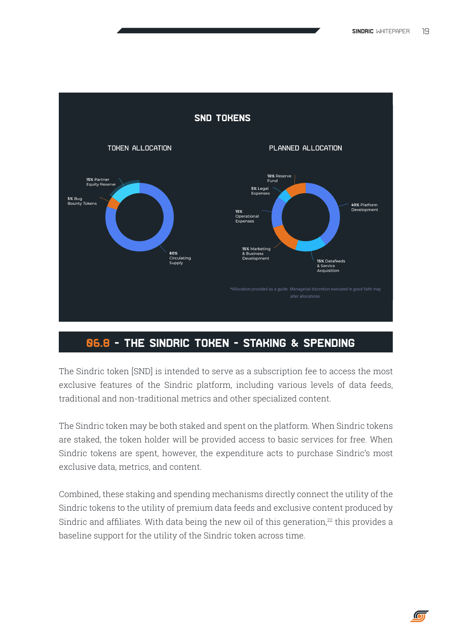

### **06.8 - The Sindric Token - Staking & Spending**

The Sindric token [SND] is intended to serve as a subscription fee to access the most exclusive features of the Sindric platform, including various levels of data feeds, traditional and non-traditional metrics and other specialized content.

The Sindric token may be both staked and spent on the platform. When Sindric tokens are staked, the token holder will be provided access to basic services for free. When Sindric tokens are spent, however, the expenditure acts to purchase Sindric's most exclusive data, metrics, and content.

Combined, these staking and spending mechanisms directly connect the utility of the Sindric tokens to the utility of premium data feeds and exclusive content produced by Sindric and affiliates. With data being the new oil of this generation, $22$  this provides a baseline support for the utility of the Sindric token across time.

 $\bigcirc$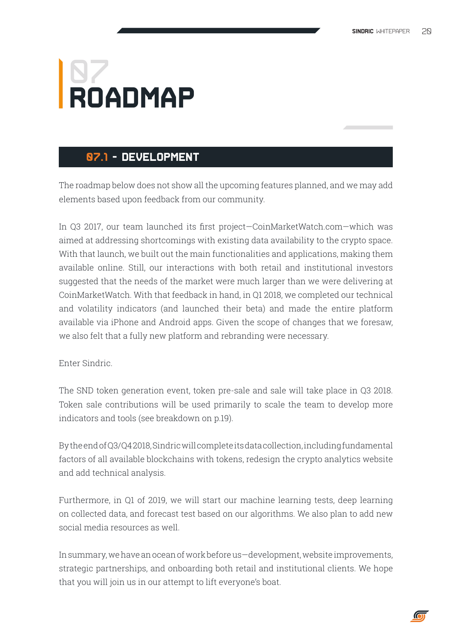## **ROADMAP 07**

### **07.1 - Development**

The roadmap below does not show all the upcoming features planned, and we may add elements based upon feedback from our community.

In Q3 2017, our team launched its first project—CoinMarketWatch.com—which was aimed at addressing shortcomings with existing data availability to the crypto space. With that launch, we built out the main functionalities and applications, making them available online. Still, our interactions with both retail and institutional investors suggested that the needs of the market were much larger than we were delivering at CoinMarketWatch. With that feedback in hand, in Q1 2018, we completed our technical and volatility indicators (and launched their beta) and made the entire platform available via iPhone and Android apps. Given the scope of changes that we foresaw, we also felt that a fully new platform and rebranding were necessary.

#### Enter Sindric.

The SND token generation event, token pre-sale and sale will take place in Q3 2018. Token sale contributions will be used primarily to scale the team to develop more indicators and tools (see breakdown on p.19).

By the end of Q3/Q4 2018, Sindric will complete its data collection, including fundamental factors of all available blockchains with tokens, redesign the crypto analytics website and add technical analysis.

Furthermore, in Q1 of 2019, we will start our machine learning tests, deep learning on collected data, and forecast test based on our algorithms. We also plan to add new social media resources as well.

In summary, we have an ocean of work before us—development, website improvements, strategic partnerships, and onboarding both retail and institutional clients. We hope that you will join us in our attempt to lift everyone's boat.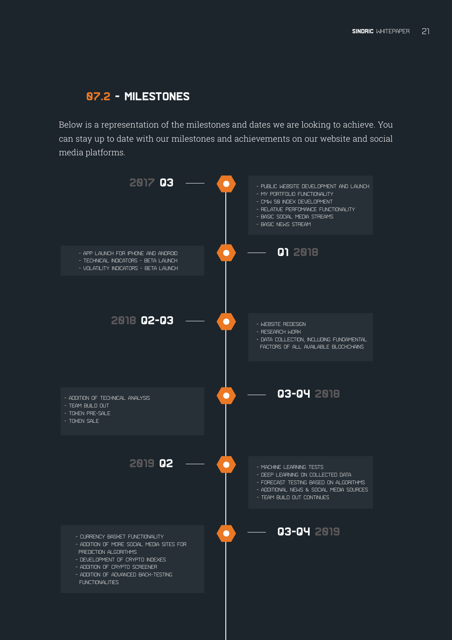### **07.2 - Milestones**

Below is a representation of the milestones and dates we are looking to achieve. You can stay up to date with our milestones and achievements on our website and social media platforms.